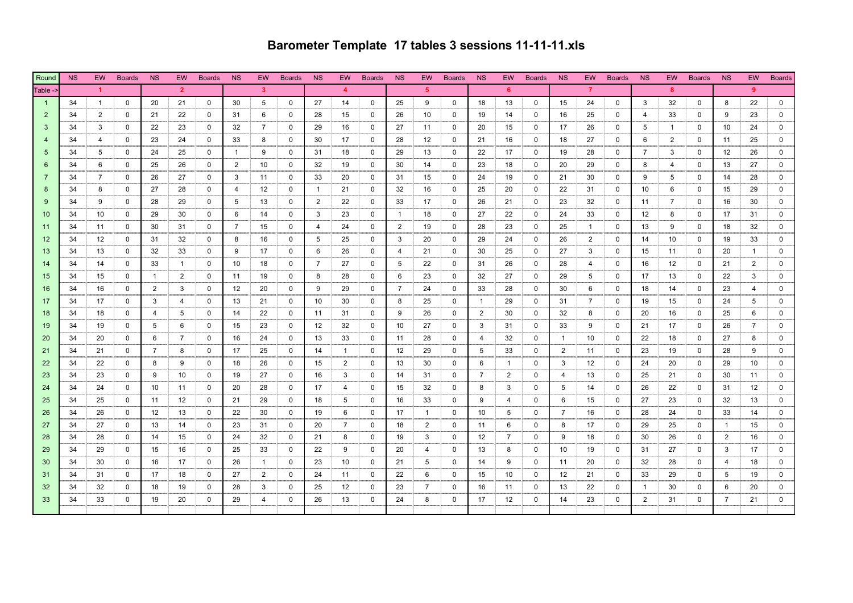## **Barometer Template 17 tables 3 sessions 11-11-11.xls**

| Round           | <b>NS</b> | EW -         | Boards      | <b>NS</b>      | EW             | Boards NS   |                | EW             | Boards NS    |                | EW - | Boards NS   |                 | EW - | Boards NS    |                 | EW -           | Boards NS    |                | EW -           | Boards NS   |                | EW -         | Boards NS   |                | EW.          | <b>Boards</b> |
|-----------------|-----------|--------------|-------------|----------------|----------------|-------------|----------------|----------------|--------------|----------------|------|-------------|-----------------|------|--------------|-----------------|----------------|--------------|----------------|----------------|-------------|----------------|--------------|-------------|----------------|--------------|---------------|
| Table ->        |           |              |             |                | $\overline{2}$ |             |                | 3              |              |                |      |             |                 | -5   |              |                 | -ĥ             |              |                | $\overline{7}$ |             |                | <b>R</b>     |             |                |              |               |
| $\overline{1}$  | 34        | $\mathbf{1}$ | $\mathbf 0$ | 20             | 21             | 0           | 30             | 5              | $\mathbf 0$  | 27             | 14   | $\mathbf 0$ | 25              | 9    | $\mathbf{0}$ | 18              | 13             | $\mathbf{0}$ | 15             | 24             | $\mathbf 0$ | 3              | 32           | $\mathbf 0$ | 8              | 22           | $\mathbf 0$   |
| $\overline{2}$  | 34        | 2            | $\mathbf 0$ | 21             | 22             | $\Omega$    | 31             | 6              | 0            | 28             | 15   | $\Omega$    | 26              | 10   | $\Omega$     | 19              | 14             | $\Omega$     | 16             | 25             | $\Omega$    | 4              | 33           | $\Omega$    | 9              | 23           | $\mathbf 0$   |
| 3               | 34        | 3            | $\mathbf 0$ | 22             | 23             | $\mathbf 0$ | 32             | 7              | 0            | 29             | 16   | $\mathbf 0$ | 27              | 11   | 0            | 20              | 15             | 0            | 17             | 26             | 0           | 5              | $\mathbf{1}$ | $\mathbf 0$ | 10             | 24           | $\mathbf 0$   |
| $\overline{4}$  | 34        | 4            | $\mathbf 0$ | 23             | 24             | $\mathbf 0$ | 33             | 8              | 0            | 30             | 17   | $\mathbf 0$ | 28              | 12   | 0            | 21              | 16             | 0            | 18             | 27             | $\mathbf 0$ | 6              | 2            | $^{\circ}$  | 11             | 25           | 0             |
| -5              | 34        | 5            | $\mathbf 0$ | 24             | 25             | $\mathbf 0$ | $\overline{1}$ | 9              | $\mathbf 0$  | 31             | 18   | $\mathbf 0$ | 29              | 13   | 0            | 22              | 17             | 0            | 19             | 28             | 0           | $\overline{7}$ | 3            | $\mathbf 0$ | 12             | 26           | 0             |
|                 | 34        | 6            | $\mathbf 0$ | 25             | 26             | $\mathbf 0$ | $\overline{2}$ | 10             | $\mathbf 0$  | 32             | 19   | $\mathbf 0$ | 30              | 14   | 0            | 23              | 18             | 0            | 20             | 29             | 0           | 8              | 4            | $\mathbf 0$ | 13             | 27           | 0             |
| 7               | 34        | 7            | $\mathbf 0$ | 26             | 27             | $\mathbf 0$ | 3              | 11             | $\mathbf 0$  | 33             | 20   | 0           | 31              | 15   | 0            | 24              | 19             | 0            | 21             | 30             | $\Omega$    | 9              | 5            | $\mathbf 0$ | 14             | 28           | 0             |
|                 | 34        | 8            | $\mathbf 0$ | 27             | 28             | $\mathbf 0$ | $\overline{4}$ | 12             | 0            | $\overline{1}$ | 21   | 0           | 32              | 16   | $\Omega$     | 25              | 20             | $\Omega$     | 22             | 31             | $\Omega$    | 10             | 6            | $\Omega$    | 15             | 29           | $\mathbf 0$   |
|                 | 34        | 9            | $\mathbf 0$ | 28             | 29             | $\mathbf 0$ | 5              | 13             | 0            | $\overline{2}$ | 22   | 0           | 33              | 17   | 0            | 26              | 21             | 0            | 23             | 32             | $\mathbf 0$ | 11             | 7            | $\mathbf 0$ | 16             | 30           | $\mathbf 0$   |
| 10 <sup>°</sup> | 34        | 10           | $\mathbf 0$ | 29             | 30             | $\mathbf 0$ | 6              | 14             | 0            | 3              | 23   | 0           | $\overline{1}$  | 18   | 0            | 27              | 22             | 0            | 24             | 33             | $\mathbf 0$ | 12             | 8            | $\mathbf 0$ | 17             | 31           | $\mathbf 0$   |
| 11              | 34        | 11           | $\mathbf 0$ | 30             | 31             | 0           | $\overline{7}$ | 15             | 0            | 4              | 24   | 0           | $\mathbf{2}$    | 19   | 0            | 28              | 23             | 0            | 25             | $\mathbf{1}$   | 0           | 13             | 9            | $\mathbf 0$ | 18             | 32           | 0             |
| 12              | 34        | 12           | $\mathbf 0$ | 31             | 32             | 0           | 8              | 16             | 0            | 5              | 25   | 0           | 3               | 20   | 0            | 29              | 24             | 0            | 26             | $\overline{2}$ | $\mathbf 0$ | 14             | 10           | $\mathbf 0$ | 19             | 33           | 0             |
| 13              | 34        | 13           | $\mathbf 0$ | 32             | 33             | $\mathbf 0$ | 9              | 17             | $\mathbf 0$  | 6              | 26   | $\mathbf 0$ | $\overline{4}$  | 21   | 0            | 30              | 25             | 0            | 27             | 3              | 0           | 15             | 11           | $\mathbf 0$ | 20             | $\mathbf{1}$ | 0             |
| 14              | 34        | 14           | $\mathbf 0$ | 33             | $\overline{1}$ | $\mathbf 0$ | 10             | 18             | $\mathbf{0}$ | $\overline{7}$ | 27   | $\mathbf 0$ | 5               | 22   | 0            | 31              | 26             | 0            | 28             | 4              | $\mathbf 0$ | 16             | 12           | $\mathbf 0$ | 21             | 2            | $\mathbf 0$   |
| 15              | 34        | 15           | $\mathbf 0$ | $\overline{1}$ | 2              | $\mathbf 0$ | 11             | 19             | $\mathbf 0$  | 8              | 28   | $\mathbf 0$ | 6               | 23   | $\Omega$     | 32              | 27             | $\Omega$     | 29             | 5              | $\Omega$    | 17             | 13           | $\Omega$    | 22             | 3            | 0             |
| 16              | 34        | 16           | $\mathbf 0$ | $\overline{2}$ | 3              | 0           | 12             | 20             | 0            | 9              | 29   | 0           | $7\overline{ }$ | 24   | 0            | 33              | 28             | 0            | 30             | 6              | 0           | 18             | 14           | $\mathbf 0$ | 23             | 4            | 0             |
| 17              | 34        | 17           | $\mathbf 0$ | 3              | $\overline{4}$ | $\mathbf 0$ | 13             | 21             | $\mathbf 0$  | 10             | 30   | $\mathbf 0$ | 8               | 25   | 0            | $\mathbf{1}$    | 29             | 0            | 31             | $\overline{7}$ | 0           | 19             | 15           | $\mathbf 0$ | 24             | 5            | 0             |
| 18              | 34        | 18           | $\mathbf 0$ | $\overline{4}$ | 5              | $\mathbf 0$ | 14             | 22             | $\mathbf 0$  | 11             | 31   | 0           | 9               | 26   | 0            | $\overline{2}$  | 30             | 0            | 32             | 8              | $\Omega$    | 20             | 16           | 0           | 25             | 6            | 0             |
| 19              | 34        | 19           | $\mathbf 0$ | 5              | 6              | $\mathbf 0$ | 15             | 23             | $\mathbf 0$  | 12             | 32   | 0           | 10              | 27   | $\Omega$     | 3               | 31             | $\Omega$     | 33             | 9              | $\Omega$    | 21             | 17           | $\Omega$    | 26             | 7            | $\Omega$      |
| 20              | 34        | 20           | $^{\circ}$  | 6              | 7              | $\mathbf 0$ | 16             | 24             | 0            | 13             | 33   | 0           | 11              | 28   | $\Omega$     | 4               | 32             | $\Omega$     | $\overline{1}$ | 10             | $\Omega$    | 22             | 18           | $\Omega$    | 27             | 8            | $\Omega$      |
| 21              | 34        | 21           | $\Omega$    | $\overline{7}$ | 8              | $\Omega$    | 17             | 25             | $\Omega$     | 14             | -1   | $\Omega$    | 12              | 29   | $\Omega$     | 5               | 33             | $\Omega$     | 2              | 11             | $\Omega$    | 23             | 19           | $\Omega$    | 28             | 9            | $\Omega$      |
| 22              | 34        | 22           | 0           | 8              | 9              | 0           | 18             | 26             | 0            | 15             | 2    | 0           | 13              | 30   | 0            | 6               | $\overline{1}$ | 0            | 3              | 12             | 0           | 24             | 20           | $\mathbf 0$ | 29             | 10           | 0             |
| 23              | 34        | 23           | $\mathbf 0$ | 9              | 10             | 0           | 19             | 27             | 0            | 16             | 3    | 0           | 14              | 31   | 0            | $7\overline{ }$ | 2              | 0            | 4              | 13             | 0           | 25             | 21           | $\mathbf 0$ | 30             | 11           | 0             |
| 24              | 34        | 24           | $\mathbf 0$ | 10             | 11             | $\mathbf 0$ | 20             | 28             | 0            | 17             | 4    | 0           | 15              | 32   | 0            | 8               | 3              | 0            | 5              | 14             | 0           | 26             | 22           | $\mathbf 0$ | 31             | 12           | $\mathbf 0$   |
| 25              | 34        | 25           | $\mathbf 0$ | 11             | 12             | $\mathbf 0$ | 21             | 29             | $\mathbf 0$  | 18             | 5    | 0           | 16              | 33   | 0            | 9               | 4              | 0            | 6              | 15             | 0           | 27             | 23           | $\mathbf 0$ | 32             | 13           | 0             |
| 26              | 34        | 26           | $\mathbf 0$ | 12             | 13             | $\mathbf 0$ | 22             | 30             | $\Omega$     | 19             | 6    | 0           | 17              | -1   | $\Omega$     | 10              | 5              | 0            | $\overline{7}$ | 16             | $\mathbf 0$ | 28             | 24           | $\mathbf 0$ | 33             | 14           | $\mathbf 0$   |
| 27              | 34        | 27           | $\mathbf 0$ | 13             | 14             | $\mathbf 0$ | 23             | 31             | 0            | 20             | 7    | 0           | 18              | 2    | 0            | 11              | 6              | 0            | 8              | 17             | $\mathbf 0$ | 29             | 25           | $\Omega$    | $\overline{1}$ | 15           | $\mathbf 0$   |
| 28              | 34        | 28           | $\mathbf 0$ | 14             | 15             | 0           | 24             | 32             | 0            | 21             | 8    | 0           | 19              | 3    | 0            | 12              | 7              | 0            | 9              | 18             | 0           | 30             | 26           | $\mathbf 0$ | 2              | 16           | 0             |
| 29              | 34        | 29           | $\mathbf 0$ | 15             | 16             | $\mathbf 0$ | 25             | 33             | $\mathbf 0$  | 22             | 9    | 0           | 20              | 4    | 0            | 13              | 8              | 0            | 10             | 19             | 0           | 31             | 27           | $\mathbf 0$ | 3              | 17           | 0             |
| 30              | 34        | 30           | $\mathbf 0$ | 16             | 17             | $\mathbf 0$ | 26             | $\overline{1}$ | $\Omega$     | 23             | 10   | 0           | 21              | 5    | $\Omega$     | 14              | 9              | $\Omega$     | 11             | 20             | $\Omega$    | 32             | 28           | $\Omega$    | $\overline{4}$ | 18           | $\Omega$      |
| 31              | 34        | 31           | $\mathbf 0$ | 17             | 18             | $\mathbf 0$ | 27             | 2              | $\mathbf 0$  | 24             | 11   | 0           | 22              | 6    | 0            | 15              | 10             | 0            | 12             | 21             | $\mathbf 0$ | 33             | 29           | $\mathbf 0$ | 5              | 19           | $\Omega$      |
| 32              | 34        | 32           | 0           | 18             | 19             | 0           | 28             | 3              | 0            | 25             | 12   | 0           | 23              | 7    | 0            | 16              | 11             | 0            | 13             | 22             | 0           | $\mathbf{1}$   | 30           | 0           | 6              | 20           | $\Omega$      |
| 33              | 34        | 33           | $\mathbf 0$ | 19             | 20             | 0           | 29             | 4              | 0            | 26             | 13   | 0           | 24              | 8    | 0            | 17              | 12             | 0            | 14             | 23             | 0           | $\overline{2}$ | 31           | 0           | $\overline{7}$ | 21           | $\Omega$      |
|                 |           |              |             |                |                |             |                |                |              |                |      |             |                 |      |              |                 |                |              |                |                |             |                |              |             |                |              |               |